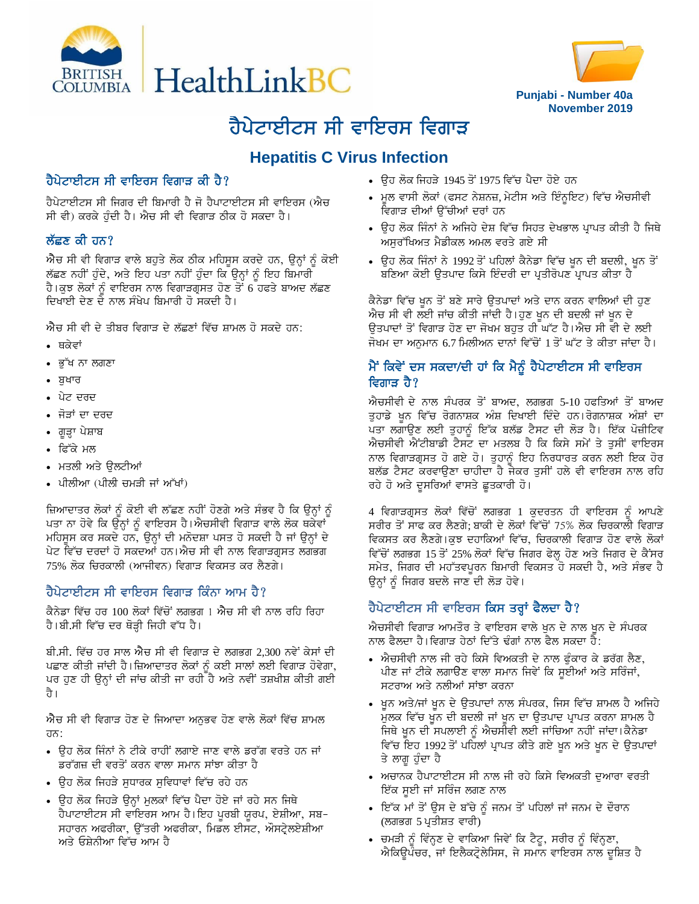



# ਹੈਪੇਟਾਈਟਸ ਸੀ ਵਾਇਰਸ ਵਿਗਾੜ

## **Hepatitis C Virus Infection**

### ਹੈਪੇਟਾਈਟਸ ਸੀ ਵਾਇਰਸ ਵਿਗਾੜ ਕੀ ਹੈ?

ਹੈਪੇਟਾਈਟਸ ਸੀ ਜਿਗਰ ਦੀ ਬਿਮਾਰੀ ਹੈ ਜੋ ਹੈਪਾਟਾਈਟਸ ਸੀ ਵਾਇਰਸ (ਐਚ ਸੀ ਵੀ) ਕਰਕੇ ਹੰਦੀ ਹੈ। ਐਚ ਸੀ ਵੀ ਵਿਗਾੜ ਠੀਕ ਹੋ ਸਕਦਾ ਹੈ।

#### ਲੱਛਣ ਕੀ ਹਨ?

 $\vec{v}$ ਚ ਸੀ ਵੀ ਵਿਗਾੜ ਵਾਲੇ ਬਹੁਤੇ ਲੋਕ ਠੀਕ ਮਹਿਸੂਸ ਕਰਦੇ ਹਨ, ਉਨ੍ਹਾਂ ਨੂੰ ਕੋਈ ਲੱਛਣ ਨਹੀਂ ਹੁੰਦੇ, ਅਤੇ ਇਹ ਪਤਾ ਨਹੀਂ ਹੁੰਦਾ ਕਿ ਉਨ੍ਹਾਂ ਨੂੰ ਇਹ ਬਿਮਾਰੀ ਹੈ।ਕੁਝ ਲੋਕਾਂ ਨੂੰ ਵਾਇਰਸ ਨਾਲ ਵਿਗਾੜਗ੍ਰਸਤ ਹੋਣ ਤੋਂ 6 ਹਫਤੇ ਬਾਅਦ ਲੱਛਣ ਦਿਖਾਈ ਦੇਣ ਦੇ ਨਾਲ ਸੰਖੇਪ ਬਿਮਾਰੀ ਹੋ ਸਕਦੀ ਹੈ।

 $\vec{v}$ ਚ ਸੀ ਵੀ ਦੇ ਤੀਬਰ ਵਿਗਾੜ ਦੇ ਲੱਛਣਾਂ ਵਿੱਚ ਸ਼ਾਮਲ ਹੋ ਸਕਦੇ ਹਨ:

- ਥਕੇਵਾਂ
- ∙ ਭੱਖ ਨਾ ਲਗਣਾ
- $\bullet$  ਬਖਾਰ
- ∙ ਪੇਟ ਦਰਦ
- ਜੋੜਾਂ ਦਾ ਦਰਦ
- ਗੁੜ੍ਹਾ ਪੇਸ਼ਾਬ
- ∙ ਫਿੱਕੇ ਮਲ
- ਮਤਲੀ ਅਤੇ ਉਲਟੀਆਂ
- ਪੀਲੀਆ (ਪੀਲੀ ਚਮੜੀ ਜਾਂ ਅੱਖਾਂ)

ਜ਼ਿਆਦਾਤਰ ਲੋਕਾਂ ਨੂੰ ਕੋਈ ਵੀ ਲੱਛਣ ਨਹੀਂ ਹੋਣਗੇ ਅਤੇ ਸੰਭਵ ਹੈ ਕਿ ਉਨ੍ਹਾਂ <u>ਨੂੰ</u> ਪਤਾ ਨਾ ਹੋਵੇ ਕਿ ਉਨ੍ਹਾਂ ਨੂੰ ਵਾਇਰਸ ਹੈ।ਐਚਸੀਵੀ ਵਿਗਾੜ ਵਾਲੇ ਲੋਕ ਥਕੇਵਾਂ ਮਹਿਸੁਸ ਕਰ ਸਕਦੇ ਹਨ, ਉਨ੍ਹਾਂ ਦੀ ਮਨੋਦਸ਼ਾ ਪਸਤ ਹੋ ਸਕਦੀ ਹੈ ਜਾਂ ਉਨ੍ਹਾਂ ਦੇ ਪੇਟ ਵਿੱਚ ਦਰਦਾਂ ਹੋ ਸਕਦਆਂ ਹਨ।ਐਚ ਸੀ ਵੀ ਨਾਲ ਵਿਗਾੜਗੁਸਤ ਲਗਭਗ 75% ਲੋਕ ਚਿਰਕਾਲੀ (ਆਜੀਵਨ) ਵਿਗਾੜ ਵਿਕਸਤ ਕਰ ਲੈਣਗੇ।

#### ਹੈਪੇਟਾਈਟਸ ਸੀ ਵਾਇਰਸ ਵਿਗਾਤ ਕਿੰਨਾ ਆਮ ਹੈ?

ਕੈਨੇਡਾ ਵਿੱਚ ਹਰ 100 ਲੋਕਾਂ ਵਿੱਚੋਂ ਲਗਭਗ 1 ਐਚ ਸੀ ਵੀ ਨਾਲ ਰਹਿ ਰਿਹਾ ਹੈ।ਬੀ.ਸੀ ਵਿੱਚ ਦਰ ਥੋੜ੍ਹੀ ਜਿਹੀ ਵੱਧ ਹੈ।

ਬੀ.ਸੀ. ਵਿੱਚ ਹਰ ਸਾਲ ਐਚ ਸੀ ਵੀ ਵਿਗਾੜ ਦੇ ਲਗਭਗ 2,300 ਨਵੇਂ ਕੇਸਾਂ ਦੀ ਪਛਾਣ ਕੀਤੀ ਜਾਂਦੀ ਹੈ। ਜ਼ਿਆਦਾਤਰ ਲੋਕਾਂ ਨੂੰ ਕਈ ਸਾਲਾਂ ਲਈ ਵਿਗਾੜ ਹੋਵੇਗਾ, ਪਰ ਹਣ ਹੀ ੳਨਾਂ ਦੀ ਜਾਂਚ ਕੀਤੀ ਜਾ ਰਹੀ ਹੈ ਅਤੇ ਨਵੀਂ ਤਸ਼ਖੀਸ਼ ਕੀਤੀ ਗਈ ਹੈ।

ਐਚ ਸੀ ਵੀ ਵਿਗਾੜ ਹੋਣ ਦੇ ਜਿਆਦਾ ਅਨੁਭਵ ਹੋਣ ਵਾਲੇ ਲੋਕਾਂ ਵਿੱਚ ਸ਼ਾਮਲ ਹਨ:

- $\,$  ੳਹ ਲੋਕ ਜਿੰਨਾਂ ਨੇ ਟੀਕੇ ਰਾਹੀਂ ਲਗਾਏ ਜਾਣ ਵਾਲੇ ਡਰੱਗ ਵਰਤੇ ਹਨ ਜਾਂ ਡਰੱਗਜ਼ ਦੀ ਵਰਤੋਂ ਕਰਨ ਵਾਲਾ ਸਮਾਨ ਸਾਂਝਾ ਕੀਤਾ ਹੈ
- ੳਹ ਲੋਕ ਜਿਹੜੇ ਸਧਾਰਕ ਸਵਿਧਾਵਾਂ ਵਿੱਚ ਰਹੇ ਹਨ
- ਉਹ ਲੋਕ ਜਿਹੜੇ ਉਨ੍ਹਾਂ ਮੁਲਕਾਂ ਵਿੱਚ ਪੈਦਾ ਹੋਏ ਜਾਂ ਰਹੇ ਸਨ ਜਿਥੇ ਹੈਪਾਟਾਈਟਸ ਸੀ ਵਾਇਰਸ ਆਮ ਹੈ।ਇਹ ਪੂਰਬੀ ਯੂਰਪ, ਏਸ਼ੀਆ, ਸਬ-ਸਹਾਰਨ ਅਫਰੀਕਾ, ਉੱਤਰੀ ਅਫਰੀਕਾ, ਮਿਡਲ ਈਸਟ, ਔਸਟ੍ਰੇਲਏਸ਼ੀਆ ਅਤੇ ਓਸ਼ੇਨੀਆ ਵਿੱਚ ਆਮ **ਹੈ**
- $\bullet$  ਉਹ ਲੋਕ ਜਿਹੜੇ 1945 ਤੋਂ 1975 ਵਿੱਚ ਪੈਦਾ ਹੋਏ ਹਨ
- ਮੁਲ ਵਾਸੀ ਲੋਕਾਂ (ਫਸਟ ਨੇਸ਼ਨਜ਼, ਮੇਟੀਸ ਅਤੇ ਇੰਨੁਇਟ) ਵਿੱਚ ਐਚਸੀਵੀ ਵਿਗਾੜ ਦੀਆਂ ੳੱਚੀਆਂ ਦਰਾਂ ਹਨ
- ਉਹ ਲੋਕ ਜਿੰਨਾਂ ਨੇ ਅਜਿਹੇ ਦੇਸ਼ ਵਿੱਚ ਸਿਹਤ ਦੇਖਭਾਲ ਪ੍ਰਾਪਤ ਕੀਤੀ ਹੈ ਜਿਥੇ ਅਸਰੱਖਿਅਤ ਮੈਡੀਕਲ ਅਮਲ ਵਰਤੇ ਗਏ ਸੀ
- ਉਹ ਲੋਕ ਜਿੰਨਾਂ ਨੇ 1992 ਤੋਂ ਪਹਿਲਾਂ ਕੈਨੇਡਾ ਵਿੱਚ ਖੁਨ ਦੀ ਬਦਲੀ, ਖੁਨ ਤੋਂ ਬਣਿਆ ਕੋਈ ਉਤਪਾਦ ਕਿਸੇ ਇੰਦਰੀ ਦਾ ਪ੍ਰਤੀਰੋਪਣ ਪ੍ਰਾਪਤ ਕੀਤਾ ਹੈ

ਕੈਨੇਡਾ ਵਿੱਚ ਖੁਨ ਤੋਂ ਬਣੇ ਸਾਰੇ ਉਤਪਾਦਾਂ ਅਤੇ ਦਾਨ ਕਰਨ ਵਾਲਿਆਂ ਦੀ ਹੁਣ ਐਚ ਸੀ ਵੀ ਲਈ ਜਾਂਚ ਕੀਤੀ ਜਾਂਦੀ ਹੈ।ਹੁਣ ਖੁਨ ਦੀ ਬਦਲੀ ਜਾਂ ਖੁਨ ਦੇ ੳਤਪਾਦਾਂ ਤੋਂ ਵਿਗਾੜ ਹੋਣ ਦਾ ਜੋਖਮ ਬਹਤ ਹੀ ਘੱਟ ਹੈ।ਐਚ ਸੀ ਵੀ ਦੇ ਲਈ ਜੋਖਮ ਦਾ ਅਨਮਾਨ 6.7 ਮਿਲੀਅਨ ਦਾਨਾਂ ਵਿੱਚੋਂ 1 ਤੋਂ ਘੱਟ ਤੇ ਕੀਤਾ ਜਾਂਦਾ ਹੈ।

#### ਮੈਂ ਕਿਵੇਂ ਦਸ ਸਕਦਾ/ਦੀ ਹਾਂ ਕਿ ਮੈਨੂੰ ਹੈਪੇਟਾਈਟਸ ਸੀ ਵਾਇਰਸ ਵਿਗਾਤ ਹੈ $\gamma$

ਐਚਸੀਵੀ ਦੇ ਨਾਲ ਸੰਪਰਕ ਤੋਂ ਬਾਅਦ, ਲਗਭਗ 5-10 ਹਫਤਿਆਂ ਤੋਂ ਬਾਅਦ ਤੁਹਾਡੇ ਖ਼ੂਨ ਵਿੱਚ ਰੋਗਨਾਸ਼ਕ ਅੰਸ਼ ਦਿਖਾਈ ਦਿੰਦੇ ਹਨ।ਰੋਗਨਾਸ਼ਕ ਅੰਸ਼ਾਂ ਦਾ ਪਤਾ ਲਗਾੳਣ ਲਈ ਤਹਾਨੰ ਇੱਕ ਬਲੱਡ ਟੈਸਟ ਦੀ ਲੋੜ ਹੈ। ਇੱਕ ਪੋਜ਼ੀਟਿਵ ਐਚਸੀਵੀ ਐਂਟੀਬਾਡੀ ਟੈਸਟ ਦਾ ਮਤਲਬ ਹੈ ਕਿ ਕਿਸੇ ਸਮੇਂ ਤੇ ਤੁਸੀਂ ਵਾਇਰਸ ਨਾਲ ਵਿਗਾੜਗ੍ਰਸਤ ਹੋ ਗਏ ਹੋ। ਤੁਹਾਨੂੰ ਇਹ ਨਿਰਧਾਰਤ ਕਰਨ ਲਈ ਇਕ ਹੋਰ ਬਲੱਡ ਟੈਸਟ ਕਰਵਾਉਣਾ ਚਾਹੀਦਾ ਹੈ ਜੇਕਰ ਤੁਸੀਂ ਹਲੇ ਵੀ ਵਾਇਰਸ ਨਾਲ ਰਹਿ ਰਹੇ ਹੋ ਅਤੇ ਦੁਸਰਿਆਂ ਵਾਸਤੇ ਛੁਤਕਾਰੀ ਹੋ।

4 ਵਿਗਾੜਗ੍ਰਸਤ ਲੋਕਾਂ ਵਿੱਚੋਂ ਲਗਭਗ 1 ਕੁਦਰਤਨ ਹੀ ਵਾਇਰਸ ਨੂੰ ਆਪਣੇ ਸਰੀਰ ਤੋਂ ਸਾਫ ਕਰ ਲੈਣਗੇ; ਬਾਕੀ ਦੇ ਲੋਕਾਂ ਵਿੱਚੋਂ 75% ਲੋਕ ਚਿਰਕਾਲੀ ਵਿਗਾੜ ਵਿਕਸਤ ਕਰ ਲੈਣਗੇ।ਕਝ ਦਹਾਕਿਆਂ ਵਿੱਚ, ਚਿਰਕਾਲੀ ਵਿਗਾੜ ਹੋਣ ਵਾਲੇ ਲੋਕਾਂ ਵਿੱਚੋਂ ਲਗਭਗ 15 ਤੋਂ 25% ਲੋਕਾਂ ਵਿੱਚ ਜਿਗਰ ਫੇਲ੍ਹ ਹੋਣ ਅਤੇ ਜਿਗਰ ਦੇ ਕੈਂਸਰ ਸਮੇਤ, ਜਿਗਰ ਦੀ ਮਹੱਤਵਪੂਰਨ ਬਿਮਾਰੀ ਵਿਕਸਤ ਹੋ ਸਕਦੀ ਹੈ, ਅਤੇ ਸੰਭਵ ਹੈ ਉਨ੍ਹਾਂ ਨੂੰ ਜਿਗਰ ਬਦਲੇ ਜਾਣ ਦੀ ਲੋੜ ਹੋਵੇ।

#### ਹੈਪੇਟਾਈਟਸ ਸੀ ਵਾਇਰਸ ਕਿਸ ਤਰ੍ਹਾਂ ਫੈਲਦਾ ਹੈ?

ਐਚਸੀਵੀ ਵਿਗਾੜ ਆਮਤੌਰ ਤੇ ਵਾਇਰਸ ਵਾਲੇ ਖਨ ਦੇ ਨਾਲ ਖਨ ਦੇ ਸੰਪਰਕ ਨਾਲ ਫੈਲਦਾ ਹੈ।ਵਿਗਾੜ ਹੇਠਾਂ ਦਿੱਤੇ ਢੰਗਾਂ ਨਾਲ ਫੈਲ ਸਕਦਾ ਹੈ:

- $\,$  ਐਚਸੀਵੀ ਨਾਲ ਜੀ ਰਹੇ ਕਿਸੇ ਵਿਅਕਤੀ ਦੇ ਨਾਲ ਫੰਕਾਰ ਕੇ ਡਰੱਗ ਲੈਣ, ਪੀਣ ਜਾਂ ਟੀਕੇ ਲਗਾਉਣ ਵਾਲਾ ਸਮਾਨ ਜਿਵੇਂ ਕਿ ਸੁਈਆਂ ਅਤੇ ਸਰਿੰਜਾਂ, ਸਟਰਾਅ ਅਤੇ ਨਲੀਆਂ ਸਾਂਝਾ ਕਰਨਾ
- ∙ ਖੁਨ ਅਤੇ/ਜਾਂ ਖੁਨ ਦੇ ਉਤਪਾਦਾਂ ਨਾਲ ਸੰਪਰਕ, ਜਿਸ ਵਿੱਚ ਸ਼ਾਮਲ ਹੈ ਅਜਿਹੇ ਮੁਲਕ ਵਿੱਚ ਖੁਨ ਦੀ ਬਦਲੀ ਜਾਂ ਖੁਨ ਦਾ ਉਤਪਾਦ ਪ੍ਰਾਪਤ ਕਰਨਾ ਸ਼ਾਮਲ ਹੈ ਜਿਥੇ ਖੁਨ ਦੀ ਸਪਲਾਈ ਨੂੰ ਐਚਸੀਵੀ ਲਈ ਜਾਂਚਿਆ ਨਹੀਂ ਜਾਂਦਾ।ਕੈਨੇਡਾ ਵਿੱਚ ਇਹ 1992 ਤੋਂ ਪਹਿਲਾਂ ਪ੍ਰਾਪਤ ਕੀਤੇ ਗਏ ਖੁਨ ਅਤੇ ਖੁਨ ਦੇ ਉਤਪਾਦਾਂ ਤੇ ਲਾਗ ਹੰਦਾ ਹੈ
- ਅਚਾਨਕ ਹੈਪਾਟਾਈਟਸ ਸੀ ਨਾਲ ਜੀ ਰਹੇ ਕਿਸੇ ਵਿਅਕਤੀ ਦਆਰਾ ਵਰਤੀ ਇੱਕ ਸੂਈ ਜਾਂ ਸਰਿੰਜ ਲਗਣ ਨਾਲ
- ਇੱਕ ਮਾਂ ਤੋਂ ਉਸ ਦੇ ਬੱਚੇ ਨੂੰ ਜਨਮ ਤੋਂ ਪਹਿਲਾਂ ਜਾਂ ਜਨਮ ਦੇ ਦੌਰਾਨ (ਲਗਭਗ 5 ਪ੍ਰਤੀਸ਼ਤ ਵਾਰੀ)
- ਚਮੜੀ ਨੂੰ ਵਿੰਨ੍ਹਣ ਦੇ ਵਾਕਿਆ ਜਿਵੇਂ ਕਿ ਟੈਟੂ, ਸਰੀਰ ਨੂੰ ਵਿੰਨ੍ਹਣਾ, ਐਕਿਉਪੰਚਰ, ਜਾਂ ਇਲੈਕਟ੍ਰੋਲੇਸਿਸ, ਜੇ ਸਮਾਨ ਵਾਇਰਸ ਨਾਲ ਦੁਸ਼ਿਤ ਹੈ